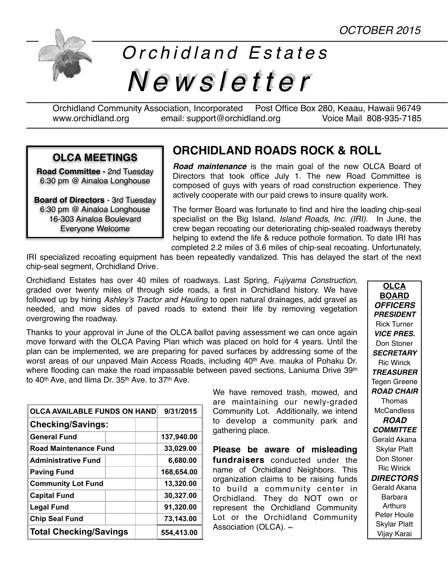

# *Orchidland Estates Newsletter*

Orchidland Community Association, Incorporated Post Office Box 280, Keaau, Hawaii 96749 [www.orchidland.org](http://www.orchidland.org) email: support@orchidland.org Voice Mail 808-935-7185

#### **OLCA MEETINGS**

**Road Committee -** 2nd Tuesday 6:30 pm @ Ainaloa Longhouse

**Board of Directors** - 3rd Tuesday 6:30 pm @ Ainaloa Longhouse 16-303 Ainaloa Boulevard Everyone Welcome

## **ORCHIDLAND ROADS ROCK & ROLL**

*Road maintenance* is the main goal of the new OLCA Board of Directors that took office July 1. The new Road Committee is composed of guys with years of road construction experience. They actively cooperate with our paid crews to insure quality work.

The former Board was fortunate to find and hire the leading chip-seal specialist on the Big Island, *Island Roads, Inc. (IRI).* In June, the crew began recoating our deteriorating chip-sealed roadways thereby helping to extend the life & reduce pothole formation. To date IRI has completed 2.2 miles of 3.6 miles of chip-seal recoating. Unfortunately,

IRI specialized recoating equipment has been repeatedly vandalized. This has delayed the start of the next chip-seal segment, Orchidland Drive.

Orchidland Estates has over 40 miles of roadways. Last Spring, *Fujiyama Construction,*  graded over twenty miles of through side roads, a first in Orchidland history. We have followed up by hiring *Ashley's Tractor and Hauling* to open natural drainages, add gravel as needed, and mow sides of paved roads to extend their life by removing vegetation overgrowing the roadway.

Thanks to your approval in June of the OLCA ballot paving assessment we can once again move forward with the OLCA Paving Plan which was placed on hold for 4 years. Until the plan can be implemented, we are preparing for paved surfaces by addressing some of the worst areas of our unpaved Main Access Roads, including 40<sup>th</sup> Ave. mauka of Pohaku Dr. where flooding can make the road impassable between paved sections, Laniuma Drive 39<sup>th</sup> to 40<sup>th</sup> Ave, and Ilima Dr. 35<sup>th</sup> Ave, to 37<sup>th</sup> Ave.

| <b>OLCA AVAILABLE FUNDS ON HAND</b> |  | 9/31/2015  |
|-------------------------------------|--|------------|
| <b>Checking/Savings:</b>            |  |            |
| <b>General Fund</b>                 |  | 137,940.00 |
| <b>Road Maintenance Fund</b>        |  | 33,029.00  |
| <b>Administrative Fund</b>          |  | 6,680.00   |
| <b>Paving Fund</b>                  |  | 168,654.00 |
| <b>Community Lot Fund</b>           |  | 13,320.00  |
| <b>Capital Fund</b>                 |  | 30,327.00  |
| <b>Legal Fund</b>                   |  | 91,320.00  |
| <b>Chip Seal Fund</b>               |  | 73,143.00  |
| <b>Total Checking/Savings</b>       |  | 554,413.00 |

We have removed trash, mowed, and are maintaining our newly-graded Community Lot. Additionally, we intend to develop a community park and gathering place.

**Please be aware of misleading fundraisers** conducted under the name of Orchidland Neighbors. This organization claims to be raising funds to build a community center in Orchidland. They do NOT own or represent the Orchidland Community Lot or the Orchidland Community Association (OLCA).  $\sim$ 

**OLCA BOARD** *OFFICERS PRESIDENT* Rick Turner *VICE PRES.* Don Stoner *SECRETARY* Ric Wirick *TREASURER* Tegen Greene *ROAD CHAIR* Thomas **McCandless** *ROAD COMMITTEE* Gerald Akana Skylar Platt Don Stoner Ric Wirick *DIRECTORS* Gerald Akana **Barbara Arthurs** Peter Houle Skylar Platt Vijay Karai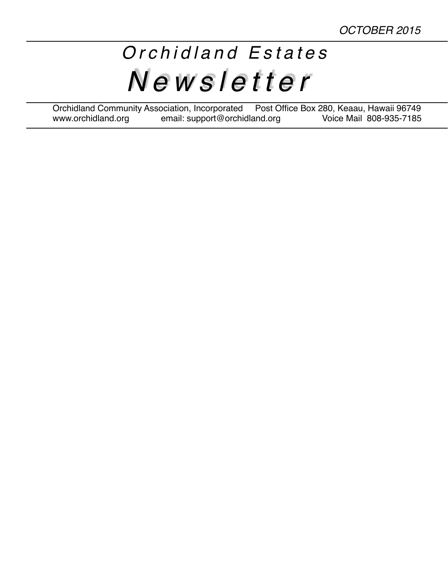# *Orchidland Estates Newsletter*

Orchidland Community Association, Incorporated Post Office Box 280, Keaau, Hawaii 96749 www.orchidland.org email: support@orchidland.org Voice Mail 808-935-7185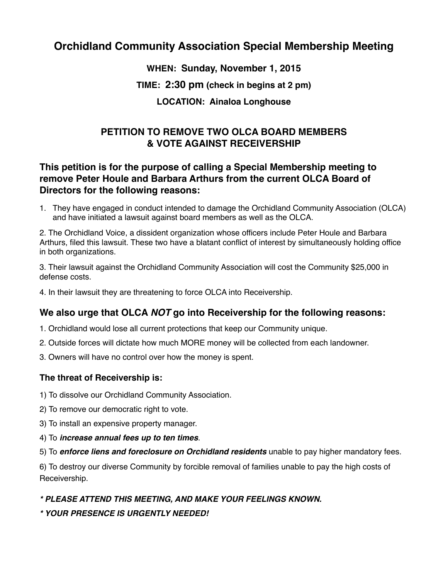### **Orchidland Community Association Special Membership Meeting**

**WHEN: Sunday, November 1, 2015**

**TIME: 2:30 pm (check in begins at 2 pm)**

**LOCATION: Ainaloa Longhouse**

#### **PETITION TO REMOVE TWO OLCA BOARD MEMBERS & VOTE AGAINST RECEIVERSHIP**

#### **This petition is for the purpose of calling a Special Membership meeting to remove Peter Houle and Barbara Arthurs from the current OLCA Board of Directors for the following reasons:**

1. They have engaged in conduct intended to damage the Orchidland Community Association (OLCA) and have initiated a lawsuit against board members as well as the OLCA.

2. The Orchidland Voice, a dissident organization whose officers include Peter Houle and Barbara Arthurs, filed this lawsuit. These two have a blatant conflict of interest by simultaneously holding office in both organizations.

3. Their lawsuit against the Orchidland Community Association will cost the Community \$25,000 in defense costs.

4. In their lawsuit they are threatening to force OLCA into Receivership.

#### **We also urge that OLCA** *NOT* **go into Receivership for the following reasons:**

- 1. Orchidland would lose all current protections that keep our Community unique.
- 2. Outside forces will dictate how much MORE money will be collected from each landowner.
- 3. Owners will have no control over how the money is spent.

#### **The threat of Receivership is:**

- 1) To dissolve our Orchidland Community Association.
- 2) To remove our democratic right to vote.
- 3) To install an expensive property manager.
- 4) To *increase annual fees up to ten times*.

5) To *enforce liens and foreclosure on Orchidland residents* unable to pay higher mandatory fees.

6) To destroy our diverse Community by forcible removal of families unable to pay the high costs of Receivership.

#### *\* PLEASE ATTEND THIS MEETING, AND MAKE YOUR FEELINGS KNOWN.*

*\* YOUR PRESENCE IS URGENTLY NEEDED!*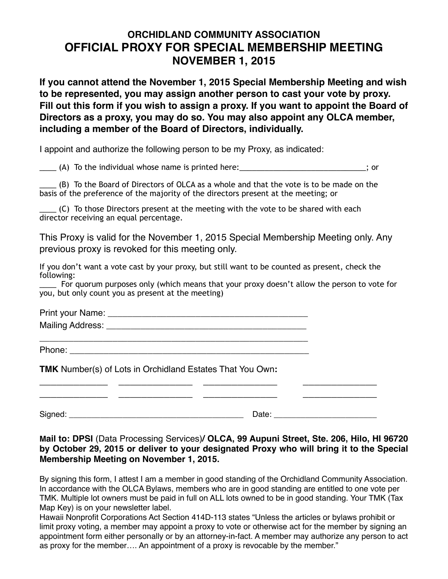### **ORCHIDLAND COMMUNITY ASSOCIATION OFFICIAL PROXY FOR SPECIAL MEMBERSHIP MEETING NOVEMBER 1, 2015**

**If you cannot attend the November 1, 2015 Special Membership Meeting and wish to be represented, you may assign another person to cast your vote by proxy. Fill out this form if you wish to assign a proxy. If you want to appoint the Board of Directors as a proxy, you may do so. You may also appoint any OLCA member, including a member of the Board of Directors, individually.**

I appoint and authorize the following person to be my Proxy, as indicated:

\_\_\_\_ (A) To the individual whose name is printed here:\_\_\_\_\_\_\_\_\_\_\_\_\_\_\_\_\_\_\_\_\_\_\_\_\_\_\_\_\_\_; or

\_\_\_\_ (B) To the Board of Directors of OLCA as a whole and that the vote is to be made on the basis of the preference of the majority of the directors present at the meeting; or

\_\_\_\_ (C) To those Directors present at the meeting with the vote to be shared with each director receiving an equal percentage.

This Proxy is valid for the November 1, 2015 Special Membership Meeting only. Any previous proxy is revoked for this meeting only.

If you don't want a vote cast by your proxy, but still want to be counted as present, check the following:

For quorum purposes only (which means that your proxy doesn't allow the person to vote for you, but only count you as present at the meeting)

Print your Name: **Example 20** Mailing Address: \_\_\_\_\_\_\_\_\_\_\_\_\_\_\_\_\_\_\_\_\_\_\_\_\_\_\_\_\_\_\_\_\_\_\_\_\_\_\_\_\_ \_\_\_\_\_\_\_\_\_\_\_\_\_\_\_\_\_\_\_\_\_\_\_\_\_\_\_\_\_\_\_\_\_\_\_\_\_\_\_\_\_\_\_\_\_\_\_\_\_\_\_\_\_\_\_

**\_\_\_\_\_\_\_\_\_\_\_\_ \_\_\_\_\_\_\_\_\_\_\_\_\_ \_\_\_\_\_\_\_\_\_\_\_\_\_ \_\_\_\_\_\_\_\_\_\_\_\_\_**

**TMK** Number(s) of Lots in Orchidland Estates That You Own**:**

Phone:  $\blacksquare$ 

Signed: \_\_\_\_\_\_\_\_\_\_\_\_\_\_\_\_\_\_\_\_\_\_\_\_\_\_\_\_\_\_\_\_\_\_\_\_\_\_\_ Date: \_\_\_\_\_\_\_\_\_\_\_\_\_\_\_\_\_\_\_\_\_\_\_

**Mail to: DPSI** (Data Processing Services)**/ OLCA, 99 Aupuni Street, Ste. 206, Hilo, HI 96720 by October 29, 2015 or deliver to your designated Proxy who will bring it to the Special Membership Meeting on November 1, 2015.**

**\_\_\_\_\_\_\_\_\_\_\_\_ \_\_\_\_\_\_\_\_\_\_\_\_\_ \_\_\_\_\_\_\_\_\_\_\_\_\_ \_\_\_\_\_\_\_\_\_\_\_\_\_**

By signing this form, I attest I am a member in good standing of the Orchidland Community Association. In accordance with the OLCA Bylaws, members who are in good standing are entitled to one vote per TMK. Multiple lot owners must be paid in full on ALL lots owned to be in good standing. Your TMK (Tax Map Key) is on your newsletter label.

Hawaii Nonprofit Corporations Act Section 414D-113 states "Unless the articles or bylaws prohibit or limit proxy voting, a member may appoint a proxy to vote or otherwise act for the member by signing an appointment form either personally or by an attorney-in-fact. A member may authorize any person to act as proxy for the member…. An appointment of a proxy is revocable by the member."